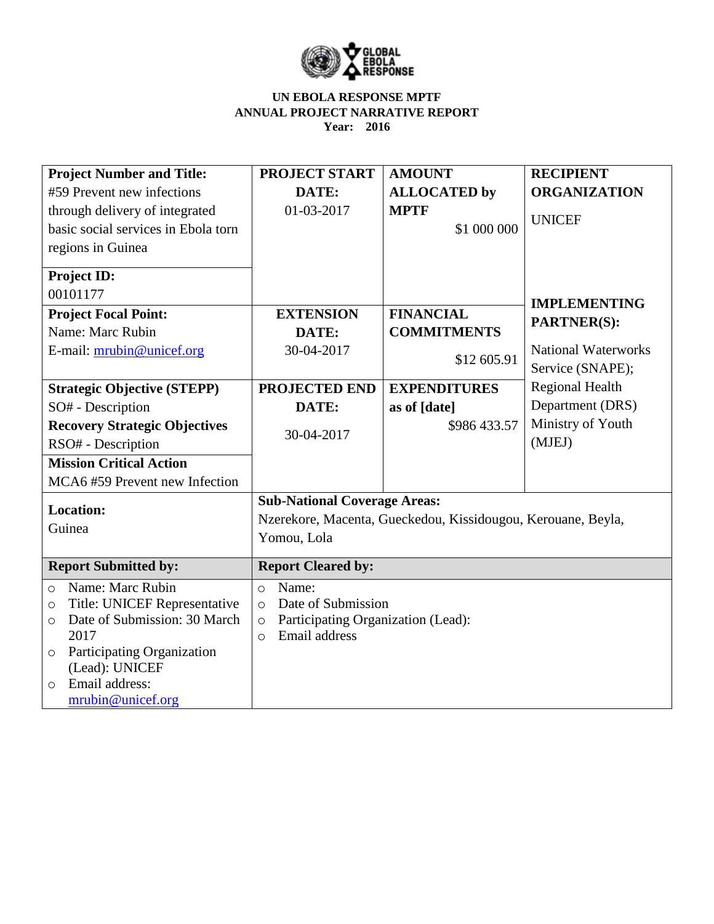

| <b>Project Number and Title:</b>                                                                                                                                                                                  | <b>PROJECT START</b>                                                                                                           | <b>AMOUNT</b>       | <b>RECIPIENT</b>           |  |
|-------------------------------------------------------------------------------------------------------------------------------------------------------------------------------------------------------------------|--------------------------------------------------------------------------------------------------------------------------------|---------------------|----------------------------|--|
| #59 Prevent new infections                                                                                                                                                                                        | DATE:                                                                                                                          | <b>ALLOCATED by</b> | <b>ORGANIZATION</b>        |  |
| through delivery of integrated                                                                                                                                                                                    | 01-03-2017                                                                                                                     | <b>MPTF</b>         |                            |  |
| basic social services in Ebola torn                                                                                                                                                                               |                                                                                                                                | \$1 000 000         | <b>UNICEF</b>              |  |
| regions in Guinea                                                                                                                                                                                                 |                                                                                                                                |                     |                            |  |
| <b>Project ID:</b>                                                                                                                                                                                                |                                                                                                                                |                     |                            |  |
| 00101177                                                                                                                                                                                                          |                                                                                                                                |                     | <b>IMPLEMENTING</b>        |  |
| <b>Project Focal Point:</b>                                                                                                                                                                                       | <b>FINANCIAL</b><br><b>EXTENSION</b>                                                                                           |                     | <b>PARTNER(S):</b>         |  |
| Name: Marc Rubin                                                                                                                                                                                                  | DATE:                                                                                                                          | <b>COMMITMENTS</b>  |                            |  |
| E-mail: mrubin@unicef.org                                                                                                                                                                                         | 30-04-2017                                                                                                                     |                     | <b>National Waterworks</b> |  |
|                                                                                                                                                                                                                   | \$12 605.91                                                                                                                    |                     | Service (SNAPE);           |  |
| <b>Strategic Objective (STEPP)</b>                                                                                                                                                                                | <b>PROJECTED END</b>                                                                                                           | <b>EXPENDITURES</b> | <b>Regional Health</b>     |  |
| SO# - Description                                                                                                                                                                                                 | DATE:                                                                                                                          | as of [date]        | Department (DRS)           |  |
| <b>Recovery Strategic Objectives</b>                                                                                                                                                                              |                                                                                                                                | \$986 433.57        | Ministry of Youth          |  |
| RSO# - Description                                                                                                                                                                                                | 30-04-2017                                                                                                                     |                     | (MJEJ)                     |  |
| <b>Mission Critical Action</b>                                                                                                                                                                                    |                                                                                                                                |                     |                            |  |
| MCA6#59 Prevent new Infection                                                                                                                                                                                     |                                                                                                                                |                     |                            |  |
| <b>Sub-National Coverage Areas:</b><br><b>Location:</b><br>Nzerekore, Macenta, Gueckedou, Kissidougou, Kerouane, Beyla,<br>Guinea<br>Yomou, Lola                                                                  |                                                                                                                                |                     |                            |  |
| <b>Report Submitted by:</b>                                                                                                                                                                                       | <b>Report Cleared by:</b>                                                                                                      |                     |                            |  |
| Name: Marc Rubin<br>$\circ$<br>Title: UNICEF Representative<br>$\circ$<br>Date of Submission: 30 March<br>$\circ$<br>2017<br>Participating Organization<br>$\circ$<br>(Lead): UNICEF<br>Email address:<br>$\circ$ | Name:<br>$\circ$<br>Date of Submission<br>$\circ$<br>Participating Organization (Lead):<br>$\circ$<br>Email address<br>$\circ$ |                     |                            |  |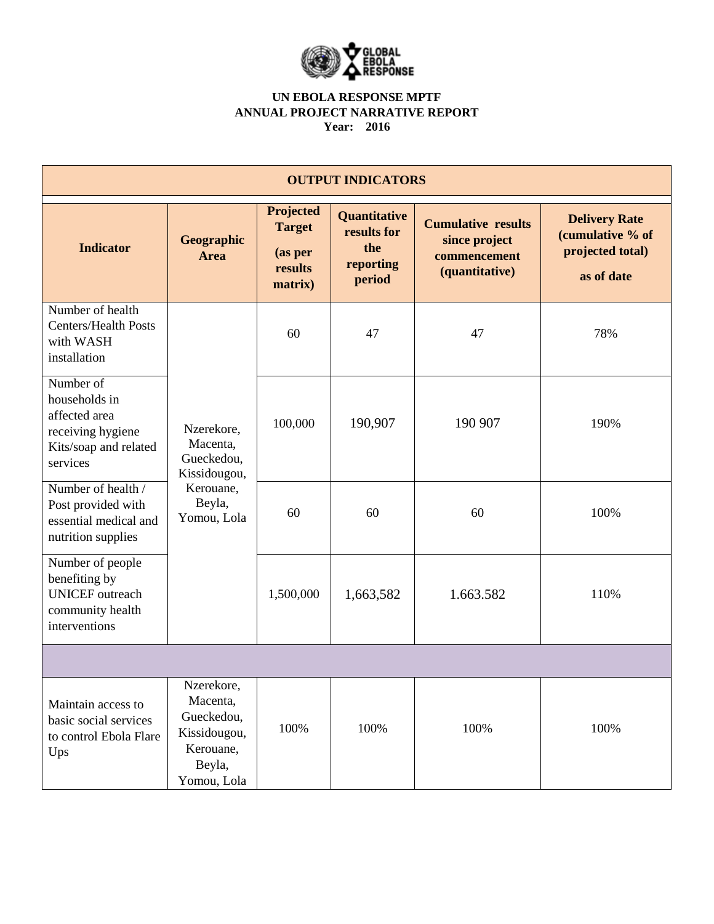

| <b>OUTPUT INDICATORS</b>                                                                              |                                                                                            |                                                             |                                                                  |                                                                              |                                                                            |  |
|-------------------------------------------------------------------------------------------------------|--------------------------------------------------------------------------------------------|-------------------------------------------------------------|------------------------------------------------------------------|------------------------------------------------------------------------------|----------------------------------------------------------------------------|--|
| <b>Indicator</b>                                                                                      | Geographic<br><b>Area</b>                                                                  | Projected<br><b>Target</b><br>(as per<br>results<br>matrix) | <b>Quantitative</b><br>results for<br>the<br>reporting<br>period | <b>Cumulative results</b><br>since project<br>commencement<br>(quantitative) | <b>Delivery Rate</b><br>(cumulative % of<br>projected total)<br>as of date |  |
| Number of health<br><b>Centers/Health Posts</b><br>with WASH<br>installation                          | Nzerekore,<br>Macenta,<br>Gueckedou,<br>Kissidougou,<br>Kerouane,<br>Beyla,<br>Yomou, Lola | 60                                                          | 47                                                               | 47                                                                           | 78%                                                                        |  |
| Number of<br>households in<br>affected area<br>receiving hygiene<br>Kits/soap and related<br>services |                                                                                            | 100,000                                                     | 190,907                                                          | 190 907                                                                      | 190%                                                                       |  |
| Number of health /<br>Post provided with<br>essential medical and<br>nutrition supplies               |                                                                                            | 60                                                          | 60                                                               | 60                                                                           | 100%                                                                       |  |
| Number of people<br>benefiting by<br><b>UNICEF</b> outreach<br>community health<br>interventions      |                                                                                            | 1,500,000                                                   | 1,663,582                                                        | 1.663.582                                                                    | 110%                                                                       |  |
|                                                                                                       |                                                                                            |                                                             |                                                                  |                                                                              |                                                                            |  |
| Maintain access to<br>basic social services<br>to control Ebola Flare<br>Ups                          | Nzerekore,<br>Macenta,<br>Gueckedou,<br>Kissidougou,<br>Kerouane,<br>Beyla,<br>Yomou, Lola | 100%                                                        | 100%                                                             | 100%                                                                         | 100%                                                                       |  |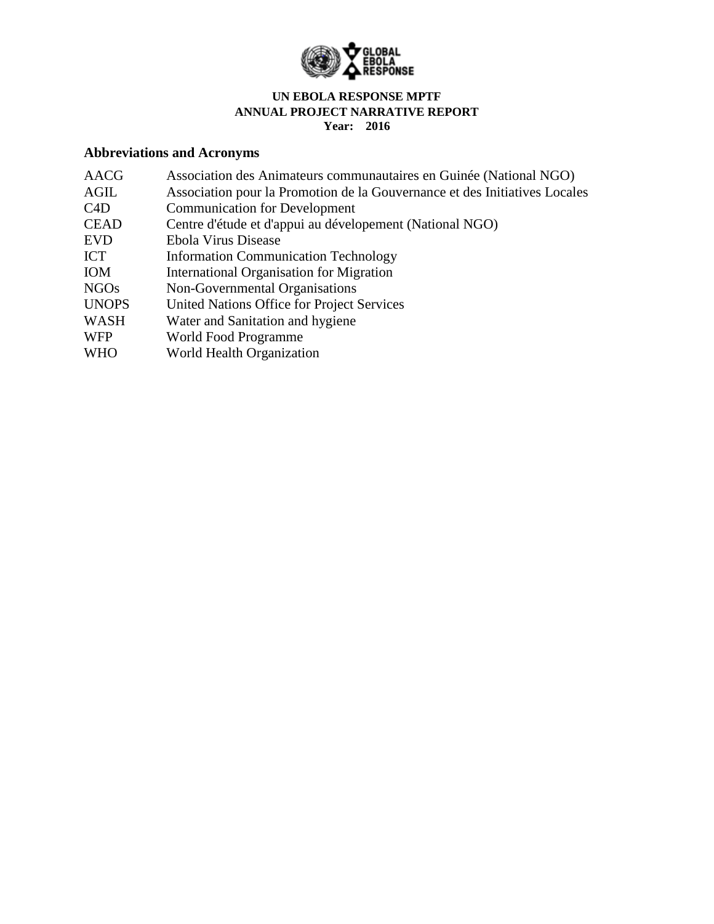

# **Abbreviations and Acronyms**

| <b>AACG</b>  | Association des Animateurs communautaires en Guinée (National NGO)         |
|--------------|----------------------------------------------------------------------------|
| AGIL         | Association pour la Promotion de la Gouvernance et des Initiatives Locales |
| C4D          | <b>Communication for Development</b>                                       |
| <b>CEAD</b>  | Centre d'étude et d'appui au dévelopement (National NGO)                   |
| <b>EVD</b>   | Ebola Virus Disease                                                        |
| <b>ICT</b>   | <b>Information Communication Technology</b>                                |
| <b>IOM</b>   | International Organisation for Migration                                   |
| <b>NGOs</b>  | Non-Governmental Organisations                                             |
| <b>UNOPS</b> | United Nations Office for Project Services                                 |
| WASH         | Water and Sanitation and hygiene                                           |
| <b>WFP</b>   | World Food Programme                                                       |

WHO World Health Organization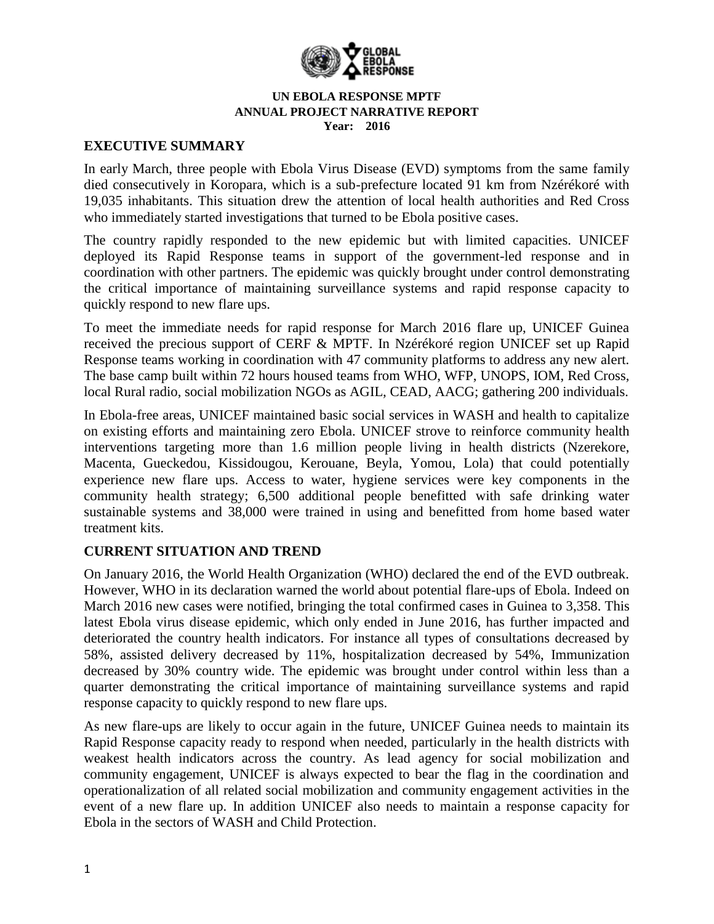

### **EXECUTIVE SUMMARY**

In early March, three people with Ebola Virus Disease (EVD) symptoms from the same family died consecutively in Koropara, which is a sub-prefecture located 91 km from Nzérékoré with 19,035 inhabitants. This situation drew the attention of local health authorities and Red Cross who immediately started investigations that turned to be Ebola positive cases.

The country rapidly responded to the new epidemic but with limited capacities. UNICEF deployed its Rapid Response teams in support of the government-led response and in coordination with other partners. The epidemic was quickly brought under control demonstrating the critical importance of maintaining surveillance systems and rapid response capacity to quickly respond to new flare ups.

To meet the immediate needs for rapid response for March 2016 flare up, UNICEF Guinea received the precious support of CERF & MPTF. In Nzérékoré region UNICEF set up Rapid Response teams working in coordination with 47 community platforms to address any new alert. The base camp built within 72 hours housed teams from WHO, WFP, UNOPS, IOM, Red Cross, local Rural radio, social mobilization NGOs as AGIL, CEAD, AACG; gathering 200 individuals.

In Ebola-free areas, UNICEF maintained basic social services in WASH and health to capitalize on existing efforts and maintaining zero Ebola. UNICEF strove to reinforce community health interventions targeting more than 1.6 million people living in health districts (Nzerekore, Macenta, Gueckedou, Kissidougou, Kerouane, Beyla, Yomou, Lola) that could potentially experience new flare ups. Access to water, hygiene services were key components in the community health strategy; 6,500 additional people benefitted with safe drinking water sustainable systems and 38,000 were trained in using and benefitted from home based water treatment kits.

## **CURRENT SITUATION AND TREND**

On January 2016, the World Health Organization (WHO) declared the end of the EVD outbreak. However, WHO in its declaration warned the world about potential flare-ups of Ebola. Indeed on March 2016 new cases were notified, bringing the total confirmed cases in Guinea to 3,358. This latest Ebola virus disease epidemic, which only ended in June 2016, has further impacted and deteriorated the country health indicators. For instance all types of consultations decreased by 58%, assisted delivery decreased by 11%, hospitalization decreased by 54%, Immunization decreased by 30% country wide. The epidemic was brought under control within less than a quarter demonstrating the critical importance of maintaining surveillance systems and rapid response capacity to quickly respond to new flare ups.

As new flare-ups are likely to occur again in the future, UNICEF Guinea needs to maintain its Rapid Response capacity ready to respond when needed, particularly in the health districts with weakest health indicators across the country. As lead agency for social mobilization and community engagement, UNICEF is always expected to bear the flag in the coordination and operationalization of all related social mobilization and community engagement activities in the event of a new flare up. In addition UNICEF also needs to maintain a response capacity for Ebola in the sectors of WASH and Child Protection.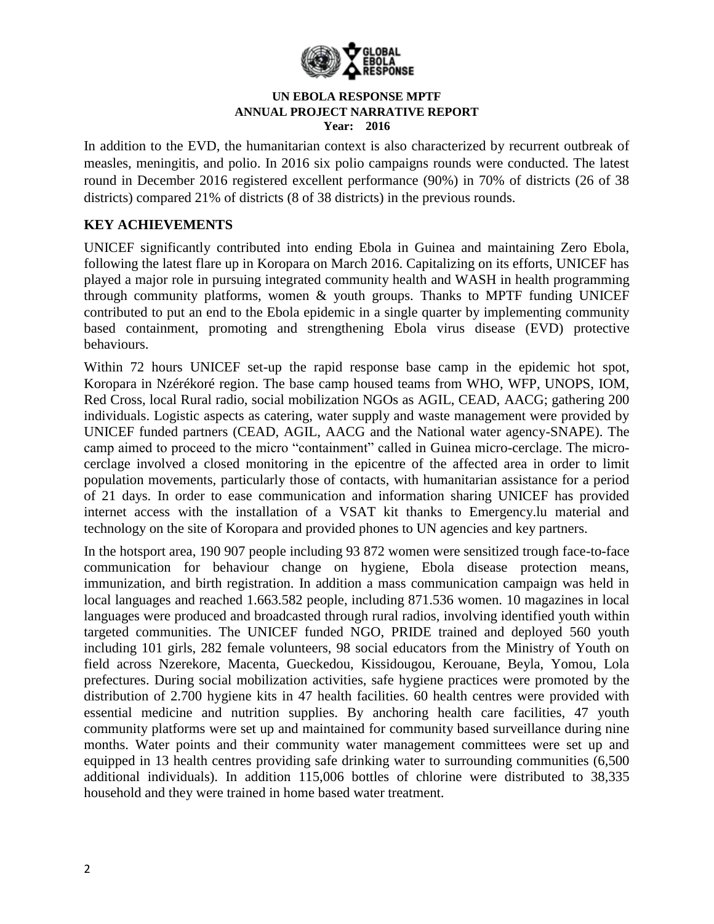

In addition to the EVD, the humanitarian context is also characterized by recurrent outbreak of measles, meningitis, and polio. In 2016 six polio campaigns rounds were conducted. The latest round in December 2016 registered excellent performance (90%) in 70% of districts (26 of 38 districts) compared 21% of districts (8 of 38 districts) in the previous rounds.

# **KEY ACHIEVEMENTS**

UNICEF significantly contributed into ending Ebola in Guinea and maintaining Zero Ebola, following the latest flare up in Koropara on March 2016. Capitalizing on its efforts, UNICEF has played a major role in pursuing integrated community health and WASH in health programming through community platforms, women & youth groups. Thanks to MPTF funding UNICEF contributed to put an end to the Ebola epidemic in a single quarter by implementing community based containment, promoting and strengthening Ebola virus disease (EVD) protective behaviours.

Within 72 hours UNICEF set-up the rapid response base camp in the epidemic hot spot, Koropara in Nzérékoré region. The base camp housed teams from WHO, WFP, UNOPS, IOM, Red Cross, local Rural radio, social mobilization NGOs as AGIL, CEAD, AACG; gathering 200 individuals. Logistic aspects as catering, water supply and waste management were provided by UNICEF funded partners (CEAD, AGIL, AACG and the National water agency-SNAPE). The camp aimed to proceed to the micro "containment" called in Guinea micro-cerclage. The microcerclage involved a closed monitoring in the epicentre of the affected area in order to limit population movements, particularly those of contacts, with humanitarian assistance for a period of 21 days. In order to ease communication and information sharing UNICEF has provided internet access with the installation of a VSAT kit thanks to Emergency.lu material and technology on the site of Koropara and provided phones to UN agencies and key partners.

In the hotsport area, 190 907 people including 93 872 women were sensitized trough face-to-face communication for behaviour change on hygiene, Ebola disease protection means, immunization, and birth registration. In addition a mass communication campaign was held in local languages and reached 1.663.582 people, including 871.536 women. 10 magazines in local languages were produced and broadcasted through rural radios, involving identified youth within targeted communities. The UNICEF funded NGO, PRIDE trained and deployed 560 youth including 101 girls, 282 female volunteers, 98 social educators from the Ministry of Youth on field across Nzerekore, Macenta, Gueckedou, Kissidougou, Kerouane, Beyla, Yomou, Lola prefectures. During social mobilization activities, safe hygiene practices were promoted by the distribution of 2.700 hygiene kits in 47 health facilities. 60 health centres were provided with essential medicine and nutrition supplies. By anchoring health care facilities, 47 youth community platforms were set up and maintained for community based surveillance during nine months. Water points and their community water management committees were set up and equipped in 13 health centres providing safe drinking water to surrounding communities (6,500 additional individuals). In addition 115,006 bottles of chlorine were distributed to 38,335 household and they were trained in home based water treatment.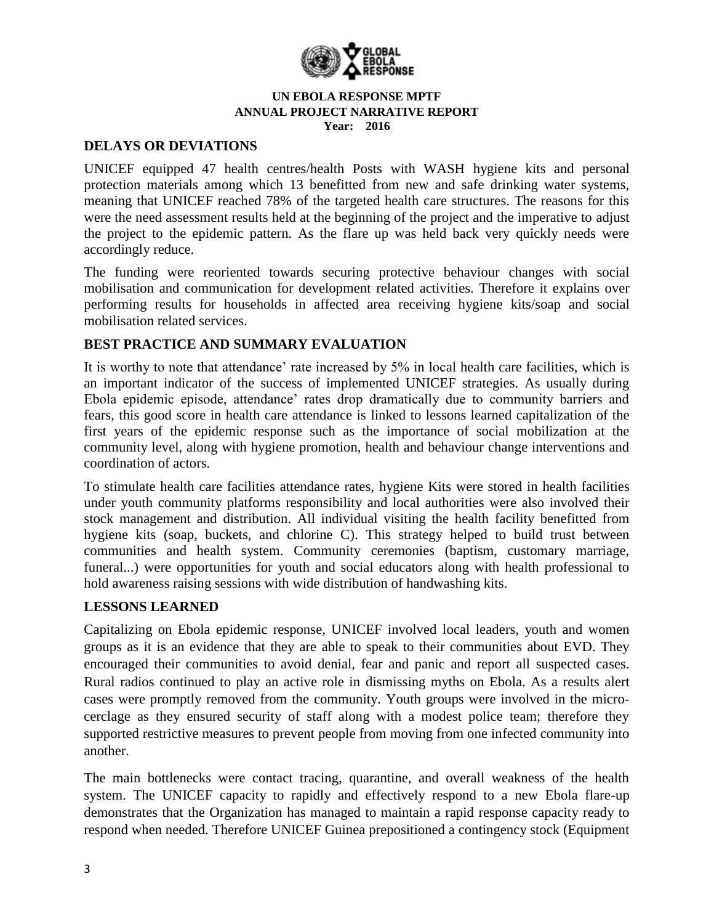

### **DELAYS OR DEVIATIONS**

UNICEF equipped 47 health centres/health Posts with WASH hygiene kits and personal protection materials among which 13 benefitted from new and safe drinking water systems, meaning that UNICEF reached 78% of the targeted health care structures. The reasons for this were the need assessment results held at the beginning of the project and the imperative to adjust the project to the epidemic pattern. As the flare up was held back very quickly needs were accordingly reduce.

The funding were reoriented towards securing protective behaviour changes with social mobilisation and communication for development related activities. Therefore it explains over performing results for households in affected area receiving hygiene kits/soap and social mobilisation related services.

## **BEST PRACTICE AND SUMMARY EVALUATION**

It is worthy to note that attendance' rate increased by 5% in local health care facilities, which is an important indicator of the success of implemented UNICEF strategies. As usually during Ebola epidemic episode, attendance' rates drop dramatically due to community barriers and fears, this good score in health care attendance is linked to lessons learned capitalization of the first years of the epidemic response such as the importance of social mobilization at the community level, along with hygiene promotion, health and behaviour change interventions and coordination of actors.

To stimulate health care facilities attendance rates, hygiene Kits were stored in health facilities under youth community platforms responsibility and local authorities were also involved their stock management and distribution. All individual visiting the health facility benefitted from hygiene kits (soap, buckets, and chlorine C). This strategy helped to build trust between communities and health system. Community ceremonies (baptism, customary marriage, funeral...) were opportunities for youth and social educators along with health professional to hold awareness raising sessions with wide distribution of handwashing kits.

## **LESSONS LEARNED**

Capitalizing on Ebola epidemic response, UNICEF involved local leaders, youth and women groups as it is an evidence that they are able to speak to their communities about EVD. They encouraged their communities to avoid denial, fear and panic and report all suspected cases. Rural radios continued to play an active role in dismissing myths on Ebola. As a results alert cases were promptly removed from the community. Youth groups were involved in the microcerclage as they ensured security of staff along with a modest police team; therefore they supported restrictive measures to prevent people from moving from one infected community into another.

The main bottlenecks were contact tracing, quarantine, and overall weakness of the health system. The UNICEF capacity to rapidly and effectively respond to a new Ebola flare-up demonstrates that the Organization has managed to maintain a rapid response capacity ready to respond when needed. Therefore UNICEF Guinea prepositioned a contingency stock (Equipment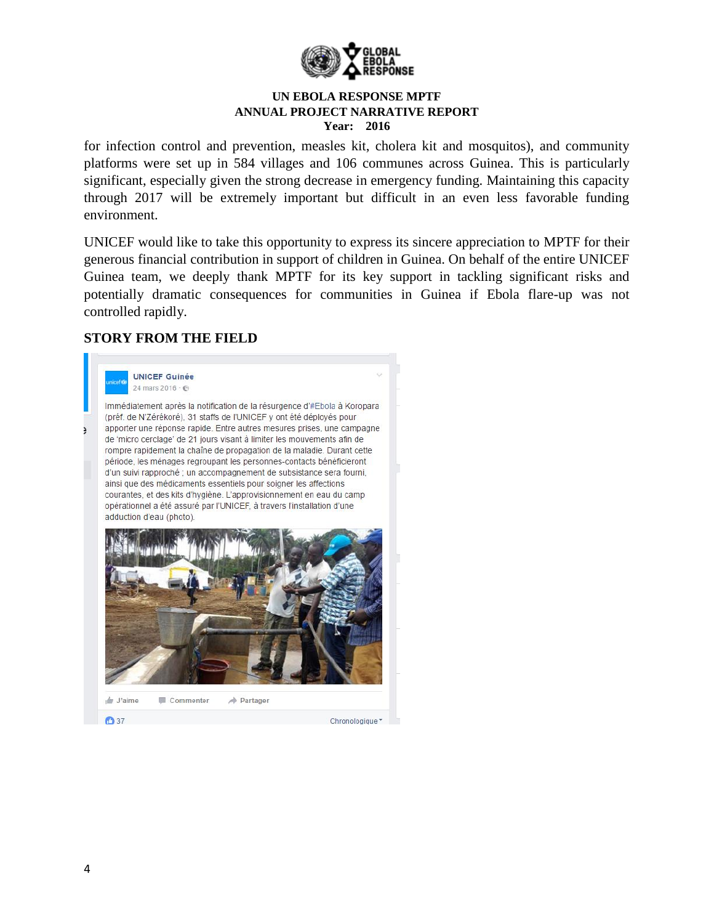

for infection control and prevention, measles kit, cholera kit and mosquitos), and community platforms were set up in 584 villages and 106 communes across Guinea. This is particularly significant, especially given the strong decrease in emergency funding. Maintaining this capacity through 2017 will be extremely important but difficult in an even less favorable funding environment.

UNICEF would like to take this opportunity to express its sincere appreciation to MPTF for their generous financial contribution in support of children in Guinea. On behalf of the entire UNICEF Guinea team, we deeply thank MPTF for its key support in tackling significant risks and potentially dramatic consequences for communities in Guinea if Ebola flare-up was not controlled rapidly.

# **STORY FROM THE FIELD**